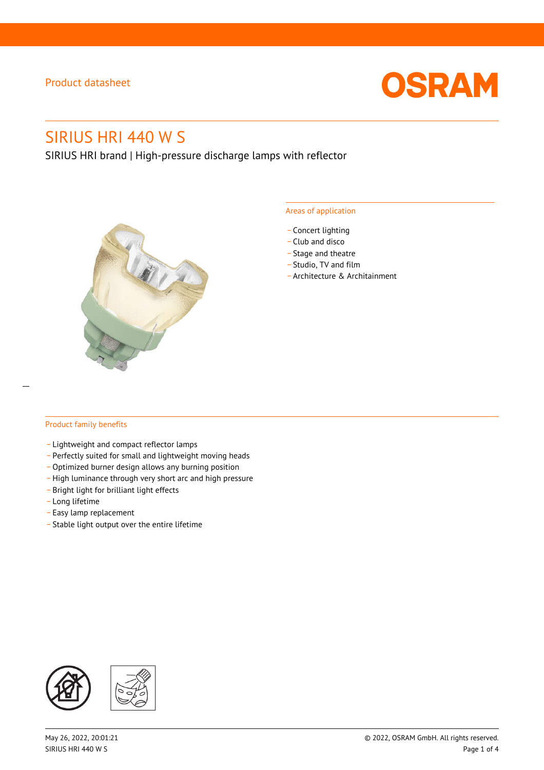

# SIRIUS HRI 440 W S

SIRIUS HRI brand | High-pressure discharge lamps with reflector



#### Areas of application

- Concert lighting
- \_ Club and disco
- Stage and theatre
- \_ Studio, TV and film
- \_ Architecture & Architainment

#### Product family benefits

- \_ Lightweight and compact reflector lamps
- \_ Perfectly suited for small and lightweight moving heads
- Optimized burner design allows any burning position
- High luminance through very short arc and high pressure
- \_ Bright light for brilliant light effects
- \_ Long lifetime
- \_ Easy lamp replacement
- \_ Stable light output over the entire lifetime

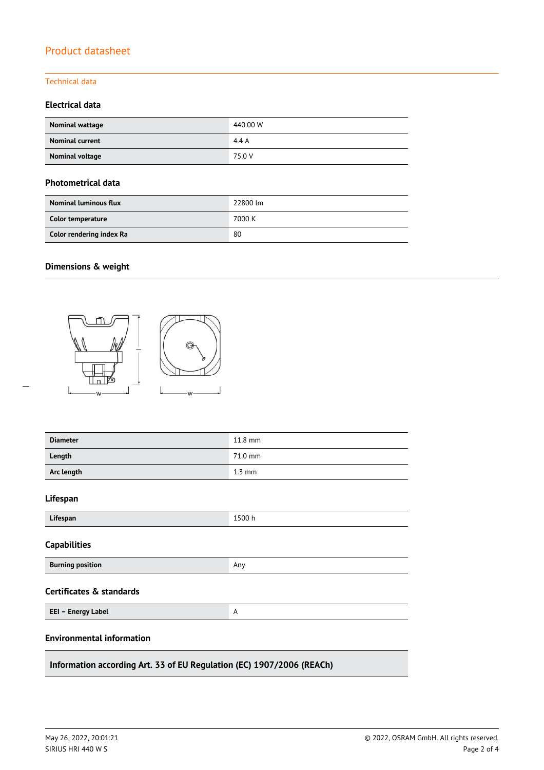#### Technical data

#### **Electrical data**

| Nominal wattage        | 440.00 W |
|------------------------|----------|
| <b>Nominal current</b> | 4.4A     |
| Nominal voltage        | 75.0 V   |

#### **Photometrical data**

| <b>Nominal luminous flux</b> | 22800 lm |
|------------------------------|----------|
| Color temperature            | 7000 K   |
| Color rendering index Ra     | 80       |

### **Dimensions & weight**

 $\overline{a}$ 



| <b>Diameter</b>                                                       | 11.8 mm          |  |  |  |
|-----------------------------------------------------------------------|------------------|--|--|--|
| Length                                                                | 71.0 mm          |  |  |  |
| Arc length                                                            | $1.3 \text{ mm}$ |  |  |  |
| Lifespan                                                              |                  |  |  |  |
| Lifespan                                                              | 1500 h           |  |  |  |
| <b>Capabilities</b>                                                   |                  |  |  |  |
| <b>Burning position</b>                                               | Any              |  |  |  |
| <b>Certificates &amp; standards</b>                                   |                  |  |  |  |
| EEI - Energy Label                                                    | A                |  |  |  |
| <b>Environmental information</b>                                      |                  |  |  |  |
| Information according Art. 33 of EU Regulation (EC) 1907/2006 (REACh) |                  |  |  |  |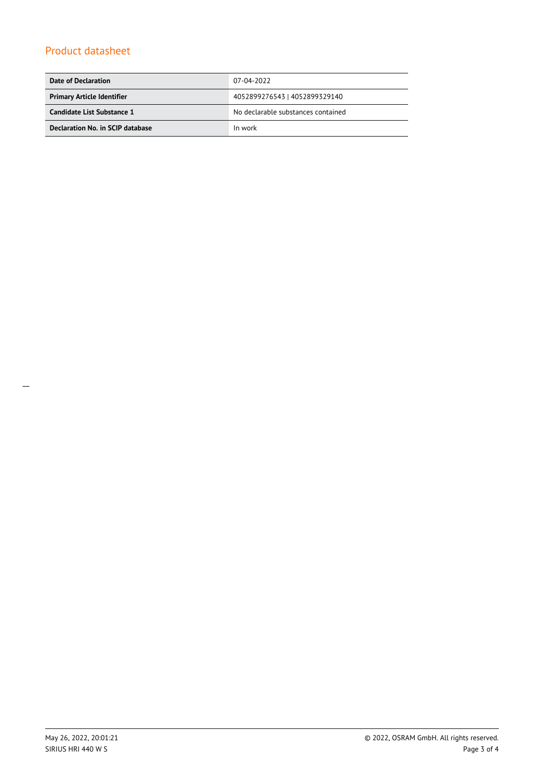| Date of Declaration               | 07-04-2022                         |  |
|-----------------------------------|------------------------------------|--|
| <b>Primary Article Identifier</b> | 4052899276543   4052899329140      |  |
| Candidate List Substance 1        | No declarable substances contained |  |
| Declaration No. in SCIP database  | In work                            |  |